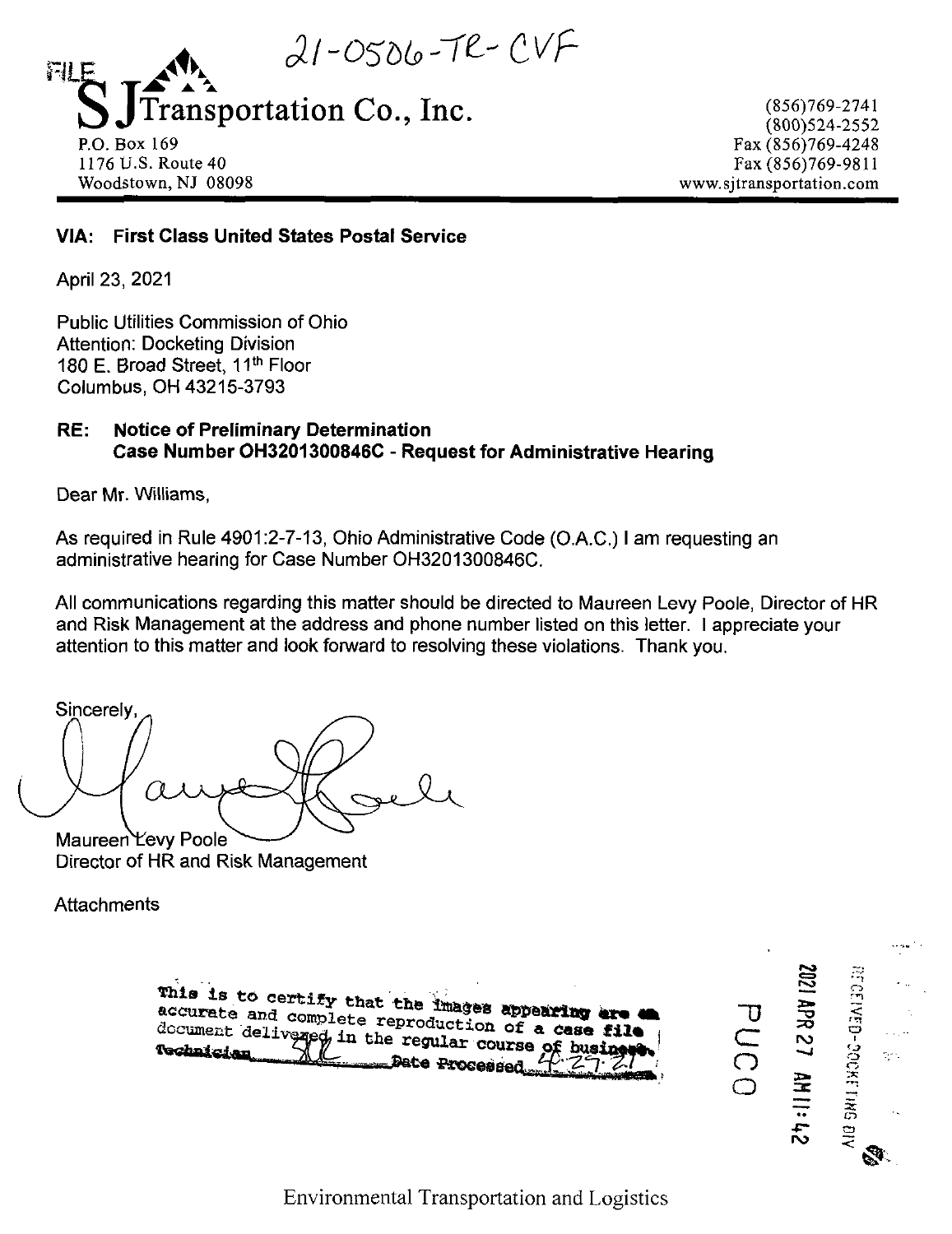$21-0506-7e-CVF$ FII F ansportation Co., Inc.

P.O.Box 169 1176 U.S. Route 40 Woodstown, NJ 08098

(856)769-2741 (800)524-2552 Fax (856)769-4248 Fax (856)769-9811 www.sjtransportation.com

# **VIA: First Class United States Postal Service**

April 23, 2021

Public Utilities Commission of Ohio Attention: Docketing Division 180 E. Broad Street, 11<sup>th</sup> Floor Columbus, OH 43215-3793

# **RE: Notice of Preliminary Determination Case Number OH3201300846C - Request for Administrative Hearing**

Dear Mr. Williams,

As required in Rule 4901:2-7-13, Ohio Administrative Code (O.A.C.) <sup>I</sup> am requesting an administrative hearing for Case Number OH3201300846C.

All communications regarding this matter should be directed to Maureen Levy Poole, Director of HR and Risk Management at the address and phone number listed on this letter. <sup>I</sup> appreciate your attention to this matter and look forward to resolving these violations. Thank you.

Sincerely: Maureen Levy Poole

Director of HR and Risk Management

**Attachments** 

This is to certify that the images appearing are a<br>accurate and complete reproduction of a case file<br>document delivaged in the regular course of business

 $\Xi$ *-~o* **r\5 DOCKET** ę. **o o re** ភ<br>ក <u>پہ</u> **ro**  $\breve{ }$ S.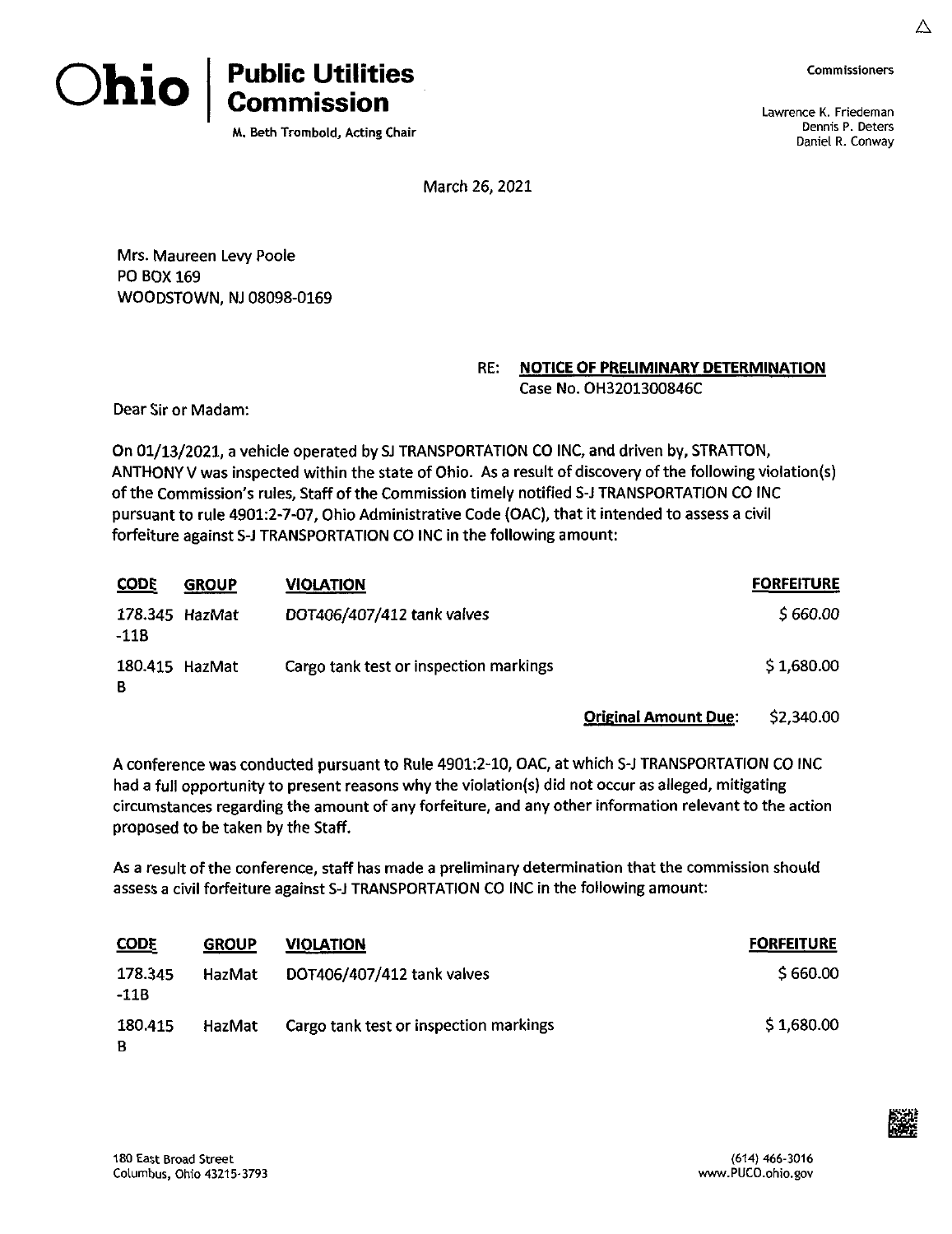



**M. Beth Trombold, Acting Chair**

**Commissioners**

**A**

Lawrence K. Friedeman Dennis P. Deters Daniel R. Conway

March 26, 2021

Mrs. Maureen Levy Poole PO BOX 169 WOODSTOWN, NJ 08098-0169

## **RE: NOTICE OF PRELIMINARY DETERMINATION** Case No. OH3201300846C

Dear Sir or Madam:

On 01/13/2021, a vehicle operated by SJ TRANSPORTATION CO INC, and driven by, STRATTON, ANTHONY V was inspected within the state of Ohio. As a result of discovery of the following violation(s) of the Commission's rules, Staff of the Commission timely notified S-J TRANSPORTATION CO INC pursuant to rule 4901:2-7-07, Ohio Administrative Code (OAC), that it intended to assess <sup>a</sup> civil forfeiture against S-J TRANSPORTATION CO INC in the following amount:

| <b>CODE</b>            | <b>GROUP</b> | <b>VIOLATION</b>                       | <b>FORFEITURE</b> |
|------------------------|--------------|----------------------------------------|-------------------|
| 178.345 HazMat<br>-118 |              | DOT406/407/412 tank valves             | \$660.00          |
| 180.415 HazMat<br>B    |              | Cargo tank test or inspection markings | \$1,680.00        |

Original Amount Due: \$2,340.00

A conference was conducted pursuant to Rule 4901:2-10, OAC, at which S-J TRANSPORTATION CO INC had a full opportunity to present reasons why the violation{s) did not occur as alleged, mitigating circumstances regarding the amount of any forfeiture, and any other information relevant to the action proposed to be taken by the Staff.

As a result ofthe conference, staff has made a preliminary determination that the commission should assess a civil forfeiture against S-J TRANSPORTATION CO INC In the following amount:

| <b>CODE</b>       | <b>GROUP</b> | <b>VIOLATION</b>                       | <b>FORFEITURE</b> |
|-------------------|--------------|----------------------------------------|-------------------|
| 178.345<br>$-11B$ | HazMat       | DOT406/407/412 tank valves             | \$660.00          |
| 180.415<br>B      | HazMat       | Cargo tank test or inspection markings | \$1,680.00        |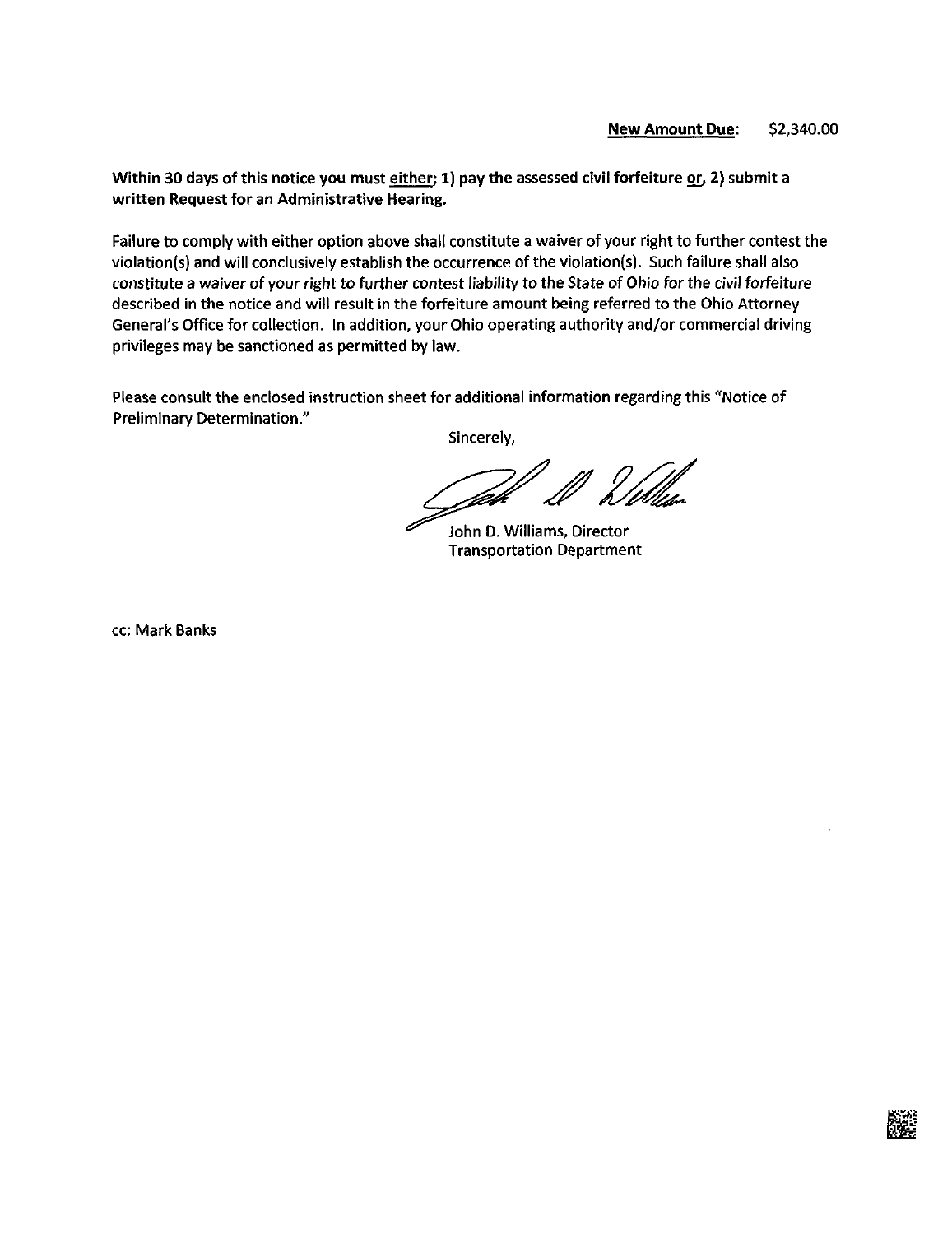# New Amount Due: \$2,340.00

Within 30 days of this notice you must either; 1) pay the assessed civil forfeiture or, 2) submit a written Request for an Administrative Hearing.

Failure to comply with either option above shall constitute a waiver of your right to further contest the violation(s) and will conclusively establish the occurrence of the violation(s). Such failure shall also constitute a waiver of your right to further contest liability to the State of Ohio for the civil forfeiture described in the notice and will result in the forfeiture amount being referred to the Ohio Attorney General's Office for collection. In addition, your Ohio operating authority and/or commercial driving privileges may be sanctioned as permitted by law.

Please consult the enclosed instruction sheet for additional information regarding this "Notice of Preliminary Determination."

Sincerely,

John D. Williams, Director Transportation Department

cc: Mark Banks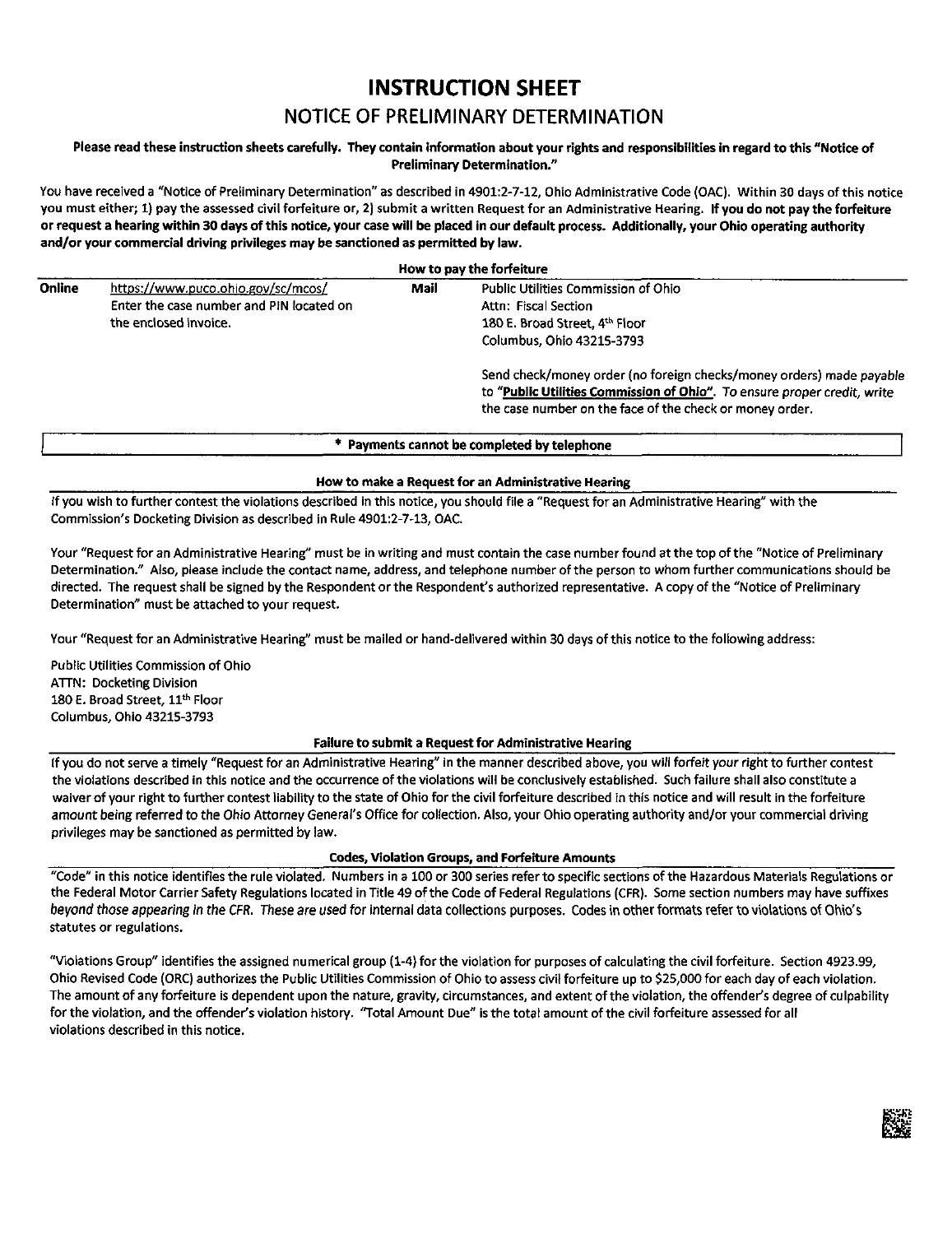# **INSTRUCTION SHEET**

# NOTICE OF PRELIMINARY DETERMINATION

## Please read these instruction sheets carefully. They contain information about your rights and responsibilities in regard to this "Notice of **Preliminary Determination."**

You have received a "Notice of Preliminary Determination" as described in 4901:2-7-12, Ohio Administrative Code (OAC). Within 30 days of this notice you must either; 1) pay the assessed civil forfeiture or, 2) submit a written Request for an Administrative Hearing. If you do not pay the forfeiture or request a hearing within 30 days of this notice, your case will be placed in our default process. Additionally, your Ohio operating authority **and/or your commercial driving privileges may be sanctioned as permitted by law.**

#### **How to pay the forfeiture** Online https://www.puco.ohio.gov/sc/mcos/ Enter the case number and PIN located on the enclosed invoice. Mall Public Utilities Commission of Ohio Attn: Fiscal Section 180 E. Broad Street, 4<sup>th</sup> Floor Columbus, Ohio 43215-3793 Send check/money order (no foreign checks/money orders) made payable to "Public Utilities Commission of Ohio". To ensure proper credit, write the case number on the face of the check or money order.

## **Payments cannot be completed by telephone**

## **How to make a Request for an Administrative Hearing**

If you wish to further contest the violations described in this notice, you should file a "Request for an Administrative Hearing" with the Commission's Docketing Division as described in Rule 4901:2-7-13, OAC.

Your "Request for an Administrative Hearing" must be in writing and must contain the case number found at the top ofthe "Notice of Preliminary Determination." Also, please include the contact name, address, and telephone number of the person to whom further communications should be directed. The request shall be signed by the Respondent orthe Respondent's authorized representative. A copy ofthe "Notice of Preliminary Determination" must be attached to your request.

Your "Request for an Administrative Hearing" must be mailed or hand-delivered within 30 days of this notice to the following address:

Public Utilities Commission of Ohio ATTN: Docketing Division 180 E. Broad Street, 11<sup>th</sup> Floor Columbus, Ohio 43215-3793

## **Failure to submit a Request for Administrative Hearing**

if you do not serve <sup>a</sup> timely "Request for an Administrative Hearing" in the manner described above, you will forfeit your right to further contest the violations described in this notice and the occurrence of the violations will be conclusively established. Such failure shall also constitute a waiver of your right to further contest liability to the state of Ohio for the civil forfeiture described in this notice and will result in the forfeiture amount being referred to the Ohio Attorney General's Office for collection. Also, your Ohio operating authority and/or your commercial driving privileges may be sanctioned as permitted by law.

## **Codes, Violation Groups, and Forfeiture Amounts**

"Code" in this notice identifies the rule violated. Numbers in a 100 or 300 series referto specific sections of the Hazardous Materials Regulations or the Federal Motor Carrier Safety Regulations located in Title 49 of the Code of Federal Regulations (CFR). Some section numbers may have suffixes beyond those appearing in the CFR. These are used for internal data collections purposes. Codes in other formats refer to violations of Ohio's statutes or regulations.

"Violations Group" identifies the assigned numerical group (1-4) for the violation for purposes of calculating the civil forfeiture. Section 4923.99, Ohio Revised Code (ORC) authorizes the Public Utilities Commission of Ohio to assess civil forfeiture up to \$25,000 for each day of each violation. The amount of any forfeiture is dependent upon the nature, gravity, circumstances, and extent of the violation, the offender's degree of culpability for the violation, and the offender's violation history. 'Total Amount Due" isthetotalamountofthe civil forfeiture assessed for all violations described in this notice.

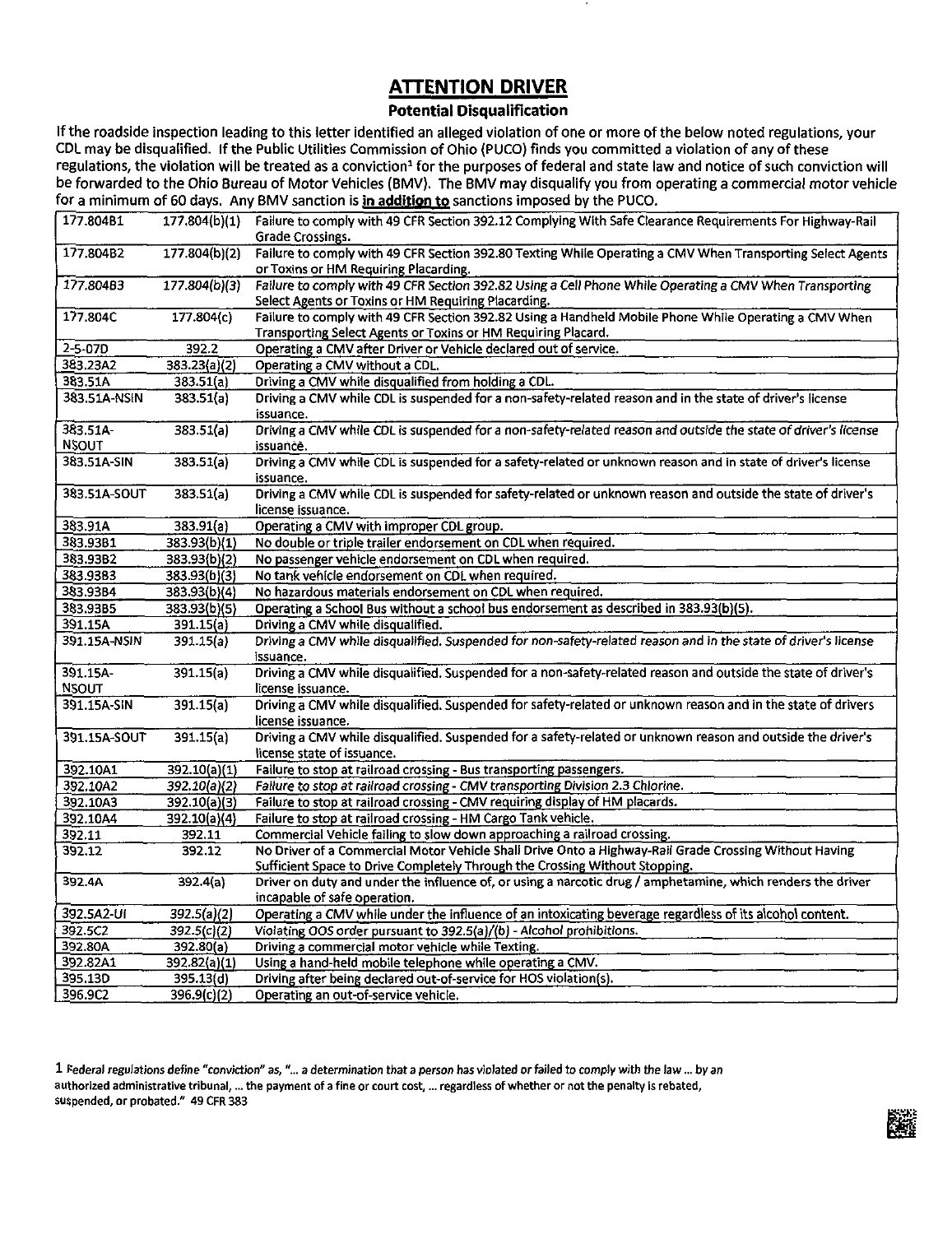# **ATTENTION DRIVER**

## **Potential Disqualification**

Ifthe roadside inspection leading to this letter identified an alleged violation of one or more ofthe below noted regulations, your CDL may be disqualified. If the Public Utilities Commission of Ohio (PUCO) finds you committed a violation of any of these regulations, the violation will be treated as a conviction<sup>1</sup> for the purposes of federal and state law and notice of such conviction will be forwarded to the Ohio Bureau of Motor Vehicles (BMV). The BMV may disqualify you from operating a commercial motor vehicle for a minimum of 60 days. Any BMV sanction is in addition to sanctions imposed by the PUCO.

| 177.804B1     | 177.804(b)(1) | Failure to comply with 49 CFR Section 392.12 Complying With Safe Clearance Requirements For Highway-Rail<br>Grade Crossings.                |
|---------------|---------------|---------------------------------------------------------------------------------------------------------------------------------------------|
| 177.804B2     | 177.804(b)(2) | Failure to comply with 49 CFR Section 392.80 Texting While Operating a CMV When Transporting Select Agents                                  |
|               |               | or Toxins or HM Requiring Placarding.                                                                                                       |
| 177.804B3     | 177.804(b)(3) | Failure to comply with 49 CFR Section 392.82 Using a Cell Phone While Operating a CMV When Transporting                                     |
|               |               | Select Agents or Toxins or HM Requiring Placarding.                                                                                         |
| 177.804C      | 177.804(c)    | Failure to comply with 49 CFR Section 392.82 Using a Handheld Mobile Phone While Operating a CMV When                                       |
|               |               | Transporting Select Agents or Toxins or HM Requiring Placard.                                                                               |
| $2 - 5 - 07D$ | 392.2         | Operating a CMV after Driver or Vehicle declared out of service.                                                                            |
| 383.23A2      | 383.23(a)(2)  | Operating a CMV without a CDL.                                                                                                              |
| 383.51A       | 383.51(a)     | Driving a CMV while disqualified from holding a CDL.                                                                                        |
| 383.51A-NSIN  | 383.51(a)     | Driving a CMV while CDL is suspended for a non-safety-related reason and in the state of driver's license                                   |
|               |               | issuance.                                                                                                                                   |
| 383.51A-      | 383.51(a)     | Driving a CMV while CDL is suspended for a non-safety-related reason and outside the state of driver's license                              |
| <b>NSOUT</b>  |               | issuance.                                                                                                                                   |
| 383.51A-SIN   | 383.51(a)     | Driving a CMV while CDL is suspended for a safety-related or unknown reason and in state of driver's license                                |
|               |               | issuance.                                                                                                                                   |
| 383.51A-SOUT  | 383.51(a)     | Driving a CMV while CDL is suspended for safety-related or unknown reason and outside the state of driver's                                 |
|               |               | license issuance.                                                                                                                           |
| 383.91A       | 383.91(a)     | Operating a CMV with improper CDL group.                                                                                                    |
| 383.93B1      | 383.93(b)(1)  | No double or triple trailer endorsement on CDL when required.                                                                               |
| 383.93B2      | 383.93(b)(2)  | No passenger vehicle endorsement on CDL when required.                                                                                      |
| 383.9383      | 383.93(b)(3)  | No tank vehicle endorsement on CDL when required.                                                                                           |
| 383.93B4      | 383.93(b)(4)  | No hazardous materials endorsement on CDL when required.                                                                                    |
| 383.93B5      | 383.93(b)(5)  | Operating a School Bus without a school bus endorsement as described in 383.93(b)(5).                                                       |
| 391.15A       | 391.15(a)     | Driving a CMV while disqualified.                                                                                                           |
| 391.15A-NSIN  | 391.15(a)     | Driving a CMV while disqualified. Suspended for non-safety-related reason and in the state of driver's license                              |
|               |               | issuance.                                                                                                                                   |
| 391.15A       | 391.15(a)     | Driving a CMV while disqualified. Suspended for a non-safety-related reason and outside the state of driver's                               |
| <b>NSOUT</b>  |               | license issuance.                                                                                                                           |
| 391.15A-SIN   | 391.15(a)     | Driving a CMV while disqualified. Suspended for safety-related or unknown reason and in the state of drivers                                |
|               |               | license issuance.                                                                                                                           |
| 391.15A-SOUT  | 391.15(a)     | Driving a CMV while disqualified. Suspended for a safety-related or unknown reason and outside the driver's                                 |
|               |               | license state of issuance.                                                                                                                  |
| 392.10A1      | 392.10(a)(1)  | Failure to stop at railroad crossing - Bus transporting passengers.                                                                         |
| 392.10A2      | 392.10(a)(2)  | Failure to stop at railroad crossing - CMV transporting Division 2.3 Chlorine.                                                              |
| 392.10A3      | 392.10(a)(3)  | Failure to stop at railroad crossing - CMV requiring display of HM placards.                                                                |
| 392.10A4      | 392.10(a)(4)  | Failure to stop at railroad crossing - HM Cargo Tank vehicle.                                                                               |
| 392.11        | 392.11        | Commercial Vehicle failing to slow down approaching a railroad crossing.                                                                    |
| 392.12        | 392.12        | No Driver of a Commercial Motor Vehicle Shall Drive Onto a Highway-Rail Grade Crossing Without Having                                       |
|               |               | Sufficient Space to Drive Completely Through the Crossing Without Stopping.                                                                 |
| 392.4A        | 392.4(a)      | Driver on duty and under the influence of, or using a narcotic drug / amphetamine, which renders the driver<br>incapable of safe operation. |
| 392.5A2-UI    | 392.5(a)(2)   | Operating a CMV while under the influence of an intoxicating beverage regardless of its alcohol content.                                    |
| 392.5C2       | 392.5(c)(2)   | Violating OOS order pursuant to 392.5(a)/(b) - Alcohol prohibitions.                                                                        |
| 392.80A       | 392.80(a)     | Driving a commercial motor vehicle while Texting.                                                                                           |
| 392.82A1      | 392.82(a)(1)  | Using a hand-held mobile telephone while operating a CMV.                                                                                   |
| 395.13D       | 395.13(d)     | Driving after being declared out-of-service for HOS violation(s).                                                                           |
| 396.9C2       | 396.9(c)(2)   | Operating an out-of-service vehicle.                                                                                                        |
|               |               |                                                                                                                                             |

1 federal regulations define "conviction" as,"... a determination that a person has violated orfailed to comply with the law... byan authorized administrative tribunal, ... the payment of a fine or court cost, ... regardless of whether or not the penalty is rebated, suspended, or probated." 49 CFR 383